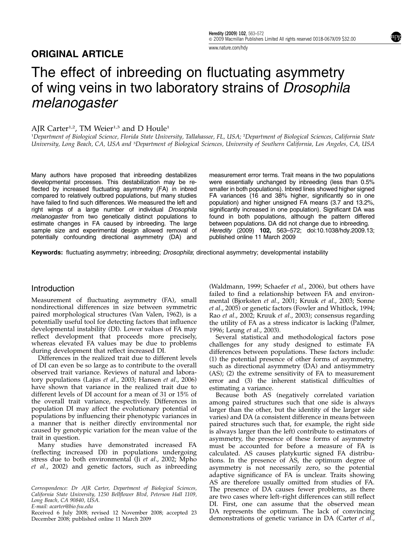# ORIGINAL ARTICLE

[www.nature.com/hdy](http://www.nature.com/hdy)

# The effect of inbreeding on fluctuating asymmetry of wing veins in two laboratory strains of Drosophila melanogaster

# AJR Carter<sup>1,2</sup>, TM Weier<sup>1,3</sup> and D Houle<sup>1</sup>

<sup>1</sup>Department of Biological Science, Florida State University, Tallahassee, FL, USA; <sup>2</sup>Department of Biological Sciences, California State University, Long Beach, CA, USA and <sup>3</sup>Department of Biological Sciences, University of Southern California, Los Angeles, CA, USA

Many authors have proposed that inbreeding destabilizes developmental processes. This destabilization may be reflected by increased fluctuating asymmetry (FA) in inbred compared to relatively outbred populations, but many studies have failed to find such differences. We measured the left and right wings of a large number of individual Drosophila melanogaster from two genetically distinct populations to estimate changes in FA caused by inbreeding. The large sample size and experimental design allowed removal of potentially confounding directional asymmetry (DA) and

measurement error terms. Trait means in the two populations were essentially unchanged by inbreeding (less than 0.5% smaller in both populations). Inbred lines showed higher signed FA variances (16 and 38% higher, significantly so in one population) and higher unsigned FA means (3.7 and 13.2%, significantly increased in one population). Significant DA was found in both populations, although the pattern differed between populations. DA did not change due to inbreeding. Heredity (2009) 102, 563–572; doi:[10.1038/hdy.2009.13](http://dx.doi.org/10.1038/hdy.2009.13); published online 11 March 2009

Keywords: fluctuating asymmetry; inbreeding; Drosophila; directional asymmetry; developmental instability

# Introduction

Measurement of fluctuating asymmetry (FA), small nondirectional differences in size between symmetric paired morphological structures [\(Van Valen, 1962](#page-9-0)), is a potentially useful tool for detecting factors that influence developmental instability (DI). Lower values of FA may reflect development that proceeds more precisely, whereas elevated FA values may be due to problems during development that reflect increased DI.

Differences in the realized trait due to different levels of DI can even be so large as to contribute to the overall observed trait variance. Reviews of natural and laboratory populations (Lajus et al[., 2003](#page-8-0); [Hansen](#page-8-0) et al., 2006) have shown that variance in the realized trait due to different levels of DI account for a mean of 31 or 15% of the overall trait variance, respectively. Differences in population DI may affect the evolutionary potential of populations by influencing their phenotypic variances in a manner that is neither directly environmental nor caused by genotypic variation for the mean value of the trait in question.

Many studies have demonstrated increased FA (reflecting increased DI) in populations undergoing stress due to both environmental (Ji et al[., 2002; Mpho](#page-8-0) et al[., 2002\)](#page-8-0) and genetic factors, such as inbreeding

Correspondence: Dr AJR Carter, Department of Biological Sciences, California State University, 1250 Bellflower Blvd, Peterson Hall 1109, Long Beach, CA 90840, USA.

E-mail: [acarter@bio.fsu.edu](mailto:acarter@bio.fsu.edu)

Received 6 July 2008; revised 12 November 2008; accepted 23 DA represents the optimum. The lack of convincing<br>December 2008; published online 11 March 2009 demonstrations of genetic variance in DA (Carter *et al.*, December 2008; published online 11 March 2009

([Waldmann, 1999](#page-9-0); [Schaefer](#page-8-0) et al., 2006), but others have failed to find a relationship between FA and environmental [\(Bjorksten](#page-8-0) et al., 2001; Kruuk et al[., 2003; Sonne](#page-8-0) et al[., 2005\)](#page-8-0) or genetic factors [\(Fowler and Whitlock, 1994](#page-8-0); Rao et al[., 2002; Kruuk](#page-8-0) et al., 2003); consensus regarding the utility of FA as a stress indicator is lacking ([Palmer,](#page-8-0) [1996](#page-8-0); [Leung](#page-8-0) et al., 2003).

Several statistical and methodological factors pose challenges for any study designed to estimate FA differences between populations. These factors include: (1) the potential presence of other forms of asymmetry, such as directional asymmetry (DA) and antisymmetry (AS); (2) the extreme sensitivity of FA to measurement error and (3) the inherent statistical difficulties of estimating a variance.

Because both AS (negatively correlated variation among paired structures such that one side is always larger than the other, but the identity of the larger side varies) and DA (a consistent difference in means between paired structures such that, for example, the right side is always larger than the left) contribute to estimators of asymmetry, the presence of these forms of asymmetry must be accounted for before a measure of FA is calculated. AS causes platykurtic signed FA distributions. In the presence of AS, the optimum degree of asymmetry is not necessarily zero, so the potential adaptive significance of FA is unclear. Traits showing AS are therefore usually omitted from studies of FA. The presence of DA causes fewer problems, as there are two cases where left–right differences can still reflect DI. First, one can assume that the observed mean DA represents the optimum. The lack of convincing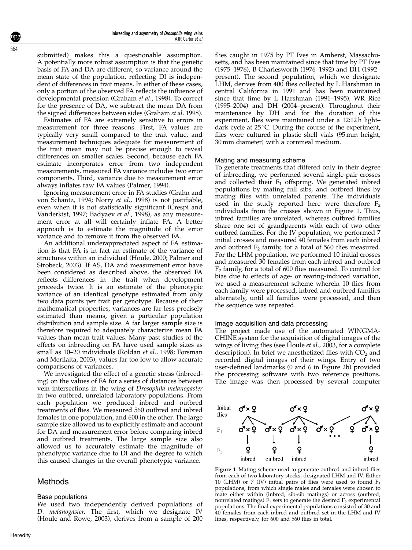<span id="page-1-0"></span>submitted) makes this a questionable assumption. A potentially more robust assumption is that the genetic basis of FA and DA are different, so variance around the mean state of the population, reflecting DI is independent of differences in trait means. In either of these cases, only a portion of the observed FA reflects the influence of developmental precision [\(Graham](#page-8-0) et al., 1998). To correct for the presence of DA, we subtract the mean DA from the signed differences between sides [\(Graham](#page-8-0) et al. 1998).

Estimates of FA are extremely sensitive to errors in measurement for three reasons. First, FA values are typically very small compared to the trait value, and measurement techniques adequate for measurement of the trait mean may not be precise enough to reveal differences on smaller scales. Second, because each FA estimate incorporates error from two independent measurements, measured FA variance includes two error components. Third, variance due to measurement error always inflates raw FA values [\(Palmer, 1994\)](#page-8-0).

Ignoring measurement error in FA studies [\(Grahn and](#page-8-0) [von Schantz, 1994;](#page-8-0) Norry et al[., 1998\)](#page-8-0) is not justifiable, even when it is not statistically significant [\(Crespi and](#page-8-0) [Vanderkist, 1997](#page-8-0); [Badyaev](#page-8-0) et al., 1998), as any measurement error at all will certainly inflate FA. A better approach is to estimate the magnitude of the error variance and to remove it from the observed FA.

An additional underappreciated aspect of FA estimation is that FA is in fact an estimate of the variance of structures within an individual [\(Houle, 2000; Palmer and](#page-8-0) [Strobeck, 2003](#page-8-0)). If AS, DA and measurement error have been considered as described above, the observed FA reflects differences in the trait when development proceeds twice. It is an estimate of the phenotypic variance of an identical genotype estimated from only two data points per trait per genotype. Because of their mathematical properties, variances are far less precisely estimated than means, given a particular population distribution and sample size. A far larger sample size is therefore required to adequately characterize mean FA values than mean trait values. Many past studies of the effects on inbreeding on FA have used sample sizes as small as 10–20 individuals [\(Roldan](#page-8-0) et al., 1998; [Forsman](#page-8-0) [and Merilaita, 2003\)](#page-8-0), values far too low to allow accurate comparisons of variances.

We investigated the effect of a genetic stress (inbreeding) on the values of FA for a series of distances between vein intersections in the wing of Drosophila melanogaster in two outbred, unrelated laboratory populations. From each population we produced inbred and outbred treatments of flies. We measured 560 outbred and inbred females in one population, and 600 in the other. The large sample size allowed us to explicitly estimate and account for DA and measurement error before comparing inbred and outbred treatments. The large sample size also allowed us to accurately estimate the magnitude of phenotypic variance due to DI and the degree to which this caused changes in the overall phenotypic variance.

# Methods

## Base populations

We used two independently derived populations of D. melanogaster. The first, which we designate IV ([Houle and Rowe, 2003\)](#page-8-0), derives from a sample of 200 flies caught in 1975 by PT Ives in Amherst, Massachusetts, and has been maintained since that time by PT Ives (1975–1976), B Charlesworth (1976–1992) and DH (1992– present). The second population, which we designate LHM, derives from 400 flies collected by L Harshman in central California in 1991 and has been maintained since that time by L Harshman (1991–1995), WR Rice (1995–2004) and DH (2004–present). Throughout their maintenance by DH and for the duration of this experiment, flies were maintained under a 12:12 h light– dark cycle at  $25^{\circ}$ C. During the course of the experiment, flies were cultured in plastic shell vials (95 mm height, 30 mm diameter) with a cornmeal medium.

#### Mating and measuring scheme

To generate treatments that differed only in their degree of inbreeding, we performed several single-pair crosses and collected their  $F_1$  offspring. We generated inbred populations by mating full sibs, and outbred lines by mating flies with unrelated parents. The individuals used in the study reported here were therefore  $F_2$ individuals from the crosses shown in Figure 1. Thus, inbred families are unrelated, whereas outbred families share one set of grandparents with each of two other outbred families. For the IV population, we performed 7 initial crosses and measured 40 females from each inbred and outbred  $F_2$  family, for a total of 560 flies measured. For the LHM population, we performed 10 initial crosses and measured 30 females from each inbred and outbred  $F<sub>2</sub>$  family, for a total of 600 flies measured. To control for bias due to effects of age- or rearing-induced variation, we used a measurement scheme wherein 10 flies from each family were processed, inbred and outbred families alternately, until all families were processed, and then the sequence was repeated.

#### Image acquisition and data processing

The project made use of the automated WINGMA-CHINE system for the acquisition of digital images of the wings of living flies (see [Houle](#page-8-0) et al., 2003, for a complete description). In brief we anesthetized flies with  $CO<sub>2</sub>$  and recorded digital images of their wings. Entry of two user-defined landmarks (0 and 6 in [Figure 2b\)](#page-2-0) provided the processing software with two reference positions. The image was then processed by several computer



Figure 1 Mating scheme used to generate outbred and inbred flies from each of two laboratory stocks, designated LHM and IV. Either 10 (LHM) or 7 (IV) initial pairs of flies were used to found  $F_1$ populations, from which single males and females were chosen to mate either within (inbred, sib-sib matings) or across (outbred, nonrelated matings)  $F_1$  sets to generate the desired  $F_2$  experimental populations. The final experimental populations consisted of 30 and 40 females from each inbred and outbred set in the LHM and IV lines, respectively, for 600 and 560 flies in total.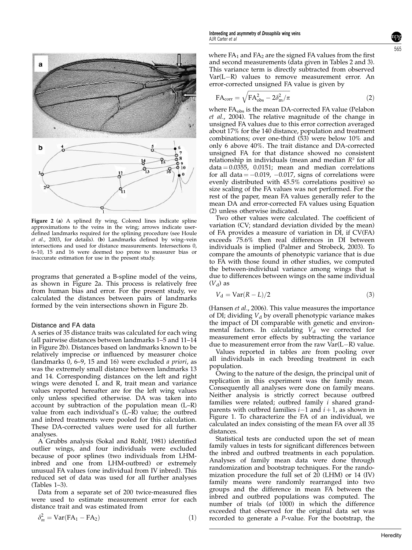<span id="page-2-0"></span>

Figure 2 (a) A splined fly wing. Colored lines indicate spline approximations to the veins in the wing; arrows indicate userdefined landmarks required for the splining procedure (see [Houle](#page-8-0) et al[., 2003,](#page-8-0) for details). (b) Landmarks defined by wing–vein intersections and used for distance measurements. Intersections 0, 6–10, 15 and 16 were deemed too prone to measurer bias or inaccurate estimation for use in the present study.

programs that generated a B-spline model of the veins, as shown in Figure 2a. This process is relatively free from human bias and error. For the present study, we calculated the distances between pairs of landmarks formed by the vein intersections shown in Figure 2b.

#### Distance and FA data

A series of 35 distance traits was calculated for each wing (all pairwise distances between landmarks 1–5 and 11–14 in Figure 2b). Distances based on landmarks known to be relatively imprecise or influenced by measurer choice (landmarks 0, 6–9, 15 and 16) were excluded a priori, as was the extremely small distance between landmarks 13 and 14. Corresponding distances on the left and right wings were denoted L and R, trait mean and variance values reported hereafter are for the left wing values only unless specified otherwise. DA was taken into account by subtraction of the population mean (L–R) value from each individual's  $(\vec{L}-\vec{R})$  value; the outbred and inbred treatments were pooled for this calculation. These DA-corrected values were used for all further analyses.

A Grubbs analysis [\(Sokal and Rohlf, 1981\)](#page-8-0) identified outlier wings, and four individuals were excluded because of poor splines (two individuals from LHMinbred and one from LHM-outbred) or extremely unusual FA values (one individual from IV inbred). This reduced set of data was used for all further analyses [\(Tables 1–3](#page-3-0)).

Data from a separate set of 200 twice-measured flies were used to estimate measurement error for each distance trait and was estimated from

$$
\delta_m^2 = \text{Var}(\text{FA}_1 - \text{FA}_2) \tag{1}
$$

where  $FA_1$  and  $FA_2$  are the signed FA values from the first and second measurements (data given in [Tables 2 and 3\)](#page-4-0). This variance term is directly subtracted from observed  $Var(L-R)$  values to remove measurement error. An error-corrected unsigned FA value is given by

$$
FA_{\text{corr}} = \sqrt{FA_{\text{obs}}^2 - 2\delta_{\text{m}}^2/\pi}
$$
 (2)

where  $FA<sub>obs</sub>$  is the mean DA-corrected FA value ([Pelabon](#page-8-0) et al.[, 2004](#page-8-0)). The relative magnitude of the change in unsigned FA values due to this error correction averaged about 17% for the 140 distance, population and treatment combinations; over one-third (53) were below 10% and only 6 above 40%. The trait distance and DA-corrected unsigned FA for that distance showed no consistent relationship in individuals (mean and median  $R<sup>2</sup>$  for all  $data = 0.0355$ , 0.0151; mean and median correlations for all data  $= -0.019$ ,  $-0.017$ , signs of correlations were evenly distributed with 45.5% correlations positive) so size scaling of the FA values was not performed. For the rest of the paper, mean FA values generally refer to the mean DA and error-corrected FA values using Equation (2) unless otherwise indicated.

Two other values were calculated. The coefficient of variation (CV; standard deviation divided by the mean) of FA provides a measure of variation in DI, if CV(FA) exceeds 75.6% then real differences in DI between individuals is implied ([Palmer and Strobeck, 2003\)](#page-8-0). To compare the amounts of phenotypic variance that is due to FA with those found in other studies, we computed the between-individual variance among wings that is due to differences between wings on the same individual  $(V<sub>d</sub>)$  as

$$
V_{\rm d} = \text{Var}(R - L)/2\tag{3}
$$

([Hansen](#page-8-0) et al., 2006). This value measures the importance of DI; dividing  $V_d$  by overall phenotypic variance makes the impact of DI comparable with genetic and environmental factors. In calculating  $V_d$  we corrected for measurement error effects by subtracting the variance due to measurement error from the raw  $\bar{\text{Var}}(L-R)$  value.

Values reported in tables are from pooling over all individuals in each breeding treatment in each population.

Owing to the nature of the design, the principal unit of replication in this experiment was the family mean. Consequently all analyses were done on family means. Neither analysis is strictly correct because outbred families were related; outbred family i shared grandparents with outbred families  $i-1$  and  $i+1$ , as shown in [Figure 1.](#page-1-0) To characterize the FA of an individual, we calculated an index consisting of the mean FA over all 35 distances.

Statistical tests are conducted upon the set of mean family values in tests for significant differences between the inbred and outbred treatments in each population. Analyses of family mean data were done through randomization and bootstrap techniques. For the randomization procedure the full set of 20 (LHM) or 14 (IV) family means were randomly rearranged into two groups and the difference in mean FA between the inbred and outbred populations was computed. The number of trials (of 1000) in which the difference exceeded that observed for the original data set was recorded to generate a P-value. For the bootstrap, the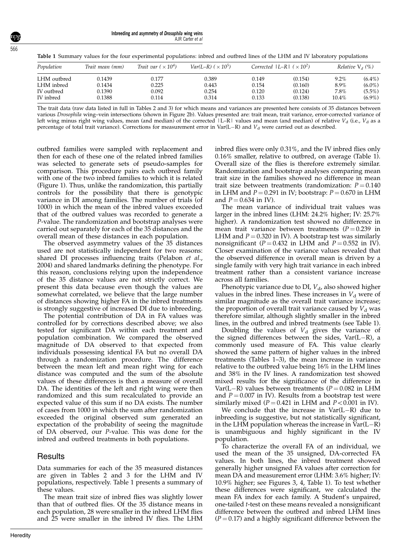Inbreeding and asymmetry of Drosophila wing veins AJR Carter et al

| Population  | Trait mean (mm) | Trait var $(\times 10^4)$ | $Var(L-R)$ ( $\times 10^5$ ) |       | Corrected $ L-R $ $(\times 10^2)$ | Relative $Vd(\%)$ |           |  |  |
|-------------|-----------------|---------------------------|------------------------------|-------|-----------------------------------|-------------------|-----------|--|--|
| LHM outbred | 0.1439          | 0.177                     | 0.389                        | 0.149 | (0.154)                           | $9.2\%$           | $(6.4\%)$ |  |  |
| LHM inbred  | 0.1434          | 0.225                     | 0.443                        | 0.154 | (0.160)                           | 8.9%              | $(6.0\%)$ |  |  |
| IV outbred  | 0.1390          | 0.092                     | 0.254                        | 0.120 | (0.124)                           | 7.8%              | $(5.5\%)$ |  |  |
| IV inbred   | 0.1388          | 0.114                     | 0.314                        | 0.133 | (0.138)                           | 10.4%             | $(6.9\%)$ |  |  |

<span id="page-3-0"></span>Table 1 Summary values for the four experimental populations: inbred and outbred lines of the LHM and IV laboratory populations

The trait data (raw data listed in full in [Tables 2 and 3\)](#page-4-0) for which means and variances are presented here consists of 35 distances between various Drosophila wing–vein intersections (shown in [Figure 2b](#page-2-0)). Values presented are: trait mean, trait variance, error-corrected variance of left wing minus right wing values, mean (and median) of the corrected  $|L-R|$  values and mean (and median) of relative  $V_d$  (i.e.,  $V_d$  as a percentage of total trait variance). Corrections for measurement error in Var(L–R) and  $V_d$  were carried out as described.

outbred families were sampled with replacement and then for each of these one of the related inbred families was selected to generate sets of pseudo-samples for comparison. This procedure pairs each outbred family with one of the two inbred families to which it is related ([Figure 1\)](#page-1-0). Thus, unlike the randomization, this partially controls for the possibility that there is genotypic variance in DI among families. The number of trials (of 1000) in which the mean of the inbred values exceeded that of the outbred values was recorded to generate a P-value. The randomization and bootstrap analyses were carried out separately for each of the 35 distances and the overall mean of these distances in each population.

The observed asymmetry values of the 35 distances used are not statistically independent for two reasons: shared DI processes influencing traits [\(Pelabon](#page-8-0) et al., [2004\)](#page-8-0) and shared landmarks defining the phenotype. For this reason, conclusions relying upon the independence of the 35 distance values are not strictly correct. We present this data because even though the values are somewhat correlated, we believe that the large number of distances showing higher FA in the inbred treatments is strongly suggestive of increased DI due to inbreeding.

The potential contribution of DA in FA values was controlled for by corrections described above; we also tested for significant DA within each treatment and population combination. We compared the observed magnitude of DA observed to that expected from individuals possessing identical FA but no overall DA through a randomization procedure. The difference between the mean left and mean right wing for each distance was computed and the sum of the absolute values of these differences is then a measure of overall DA. The identities of the left and right wing were then randomized and this sum recalculated to provide an expected value of this sum if no DA exists. The number of cases from 1000 in which the sum after randomization exceeded the original observed sum generated an expectation of the probability of seeing the magnitude of DA observed, our P-value. This was done for the inbred and outbred treatments in both populations.

## **Results**

Data summaries for each of the 35 measured distances are given in [Tables 2 and 3](#page-4-0) for the LHM and IV populations, respectively. Table 1 presents a summary of these values.

The mean trait size of inbred flies was slightly lower than that of outbred flies. Of the 35 distance means in each population, 28 were smaller in the inbred LHM flies and 25 were smaller in the inbred IV flies. The LHM

inbred flies were only 0.31%, and the IV inbred flies only 0.16% smaller, relative to outbred, on average (Table 1). Overall size of the flies is therefore extremely similar. Randomization and bootstrap analyses comparing mean trait size in the families showed no difference in mean trait size between treatments (randomization:  $P = 0.140$ in LHM and  $P = 0.291$  in IV; bootstrap:  $P = 0.670$  in LHM and  $P = 0.634$  in IV).

The mean variance of individual trait values was larger in the inbred lines (LHM: 24.2% higher; IV: 25.7% higher). A randomization test showed no difference in mean trait variance between treatments ( $P = 0.239$  in LHM and  $P = 0.320$  in IV). A bootstrap test was similarly nonsignificant ( $P = 0.432$  in LHM and  $P = 0.552$  in IV). Closer examination of the variance values revealed that the observed difference in overall mean is driven by a single family with very high trait variance in each inbred treatment rather than a consistent variance increase across all families.

Phenotypic variance due to DI,  $V_{d}$ , also showed higher values in the inbred lines. These increases in  $V_d$  were of similar magnitude as the overall trait variance increase; the proportion of overall trait variance caused by  $V<sub>d</sub>$  was therefore similar, although slightly smaller in the inbred lines, in the outbred and inbred treatments (see Table 1).

Doubling the values of  $V_d$  gives the variance of the signed differences between the sides,  $Var(L-R)$ , a commonly used measure of FA. This value clearly showed the same pattern of higher values in the inbred treatments (Tables 1–3), the mean increase in variance relative to the outbred value being 16% in the LHM lines and 38% in the IV lines. A randomization test showed mixed results for the significance of the difference in Var(L-R) values between treatments ( $P = 0.082$  in LHM and  $P = 0.007$  in IV). Results from a bootstrap test were similarly mixed ( $P = 0.421$  in LHM and  $P < 0.001$  in IV).

We conclude that the increase in  $Var(L-R)$  due to inbreeding is suggestive, but not statistically significant, in the LHM population whereas the increase in  $Var(L-R)$ is unambiguous and highly significant in the IV population.

To characterize the overall FA of an individual, we used the mean of the 35 unsigned, DA-corrected FA values. In both lines, the inbred treatment showed generally higher unsigned FA values after correction for mean DA and measurement error (LHM: 3.6% higher; IV: 10.9% higher; see [Figures 3, 4](#page-6-0), Table 1). To test whether these differences were significant, we calculated the mean FA index for each family. A Student's unpaired, one-tailed t-test on these means revealed a nonsignificant difference between the outbred and inbred LHM lines  $(P = 0.17)$  and a highly significant difference between the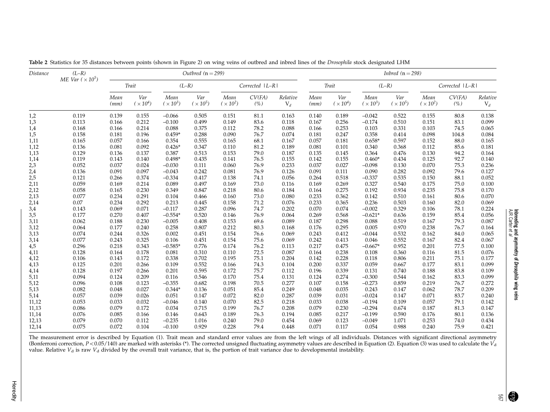| <i>Distance</i> | $(L-R)$<br>ME Var ( $\times 10^5$ ) | Outbred $(n = 299)$ |                          |                         |                          |                           |               |                   | Inbred $(n=298)$ |                          |                         |                        |                         |                   |                   |
|-----------------|-------------------------------------|---------------------|--------------------------|-------------------------|--------------------------|---------------------------|---------------|-------------------|------------------|--------------------------|-------------------------|------------------------|-------------------------|-------------------|-------------------|
|                 |                                     | Trait               |                          | $(L-R)$                 |                          | Corrected   L-R           |               | Trait             |                  | $(L-R)$                  |                         | Corrected   L-R        |                         |                   |                   |
|                 |                                     | Mean<br>(mm)        | Var<br>$(\times 10^{4})$ | Mean<br>$(\times 10^3)$ | Var<br>$(\times 10^{5})$ | Mean<br>$(\times 10^{2})$ | CV(FA)<br>(%) | Relative<br>$V_d$ | Mean<br>(mm)     | Var<br>$(\times 10^{4})$ | Mean<br>$(\times 10^3)$ | Var<br>$(\times 10^5)$ | Mean<br>$(\times 10^2)$ | CV(FA)<br>$(\% )$ | Relative<br>$V_d$ |
| 1,2             | 0.119                               | 0.139               | 0.155                    | $-0.066$                | 0.505                    | 0.151                     | 81.1          | 0.163             | 0.140            | 0.189                    | $-0.042$                | 0.522                  | 0.155                   | 80.8              | 0.138             |
| 1,3             | 0.113                               | 0.166               | 0.212                    | $-0.100$                | 0.499                    | 0.149                     | 83.6          | 0.118             | 0.167            | 0.256                    | $-0.174$                | 0.510                  | 0.151                   | 83.1              | 0.099             |
| 1,4             | 0.168                               | 0.166               | 0.214                    | 0.088                   | 0.375                    | 0.112                     | 78.2          | 0.088             | 0.166            | 0.253                    | 0.103                   | 0.331                  | 0.103                   | 74.5              | 0.065             |
| 1,5             | 0.158                               | 0.181               | 0.196                    | $0.459*$                | 0.288                    | 0.090                     | 76.7          | 0.074             | 0.181            | 0.247                    | 0.358                   | 0.414                  | 0.098                   | 104.8             | 0.084             |
| 1,11            | 0.165                               | 0.057               | 0.166                    | 0.354                   | 0.555                    | 0.165                     | 68.1          | 0.167             | 0.057            | 0.181                    | $0.658*$                | 0.597                  | 0.152                   | 88.0              | 0.165             |
| 1,12            | 0.136                               | 0.081               | 0.092                    | $0.426*$                | 0.347                    | 0.110                     | 81.2          | 0.189             | 0.081            | 0.101                    | 0.340                   | 0.368                  | 0.112                   | 85.6              | 0.181             |
| 1,13            | 0.129                               | 0.136               | 0.137                    | 0.387                   | 0.513                    | 0.153                     | 79.0          | 0.187             | 0.135            | 0.145                    | 0.364                   | 0.476                  | 0.130                   | 94.2              | 0.164             |
| 1,14            | 0.119                               | 0.143               | 0.140                    | $0.498*$                | 0.435                    | 0.141                     | 76.5          | 0.155             | 0.142            | 0.155                    | $0.460*$                | 0.434                  | 0.125                   | 92.7              | 0.140             |
| 2,3             | 0.052                               | 0.037               | 0.024                    | $-0.030$                | 0.111                    | 0.060                     | 76.9          | 0.233             | 0.037            | 0.027                    | $-0.098$                | 0.130                  | 0.070                   | 75.3              | 0.236             |
| 2,4             | 0.136                               | 0.091               | 0.097                    | $-0.043$                | 0.242                    | 0.081                     | 76.9          | 0.126             | 0.091            | 0.111                    | 0.090                   | 0.282                  | 0.092                   | 79.6              | 0.127             |
| 2,5             | 0.121                               | 0.266               | 0.374                    | $-0.334$                | 0.417                    | 0.138                     | 74.1          | 0.056             | 0.264            | 0.518                    | $-0.337$                | 0.535                  | 0.150                   | 88.1              | 0.052             |
| 2,11            | 0.059                               | 0.169               | 0.214                    | 0.089                   | 0.497                    | 0.169                     | 73.0          | 0.116             | 0.169            | 0.269                    | 0.327                   | 0.540                  | 0.175                   | 75.0              | 0.100             |
| 2,12            | 0.058                               | 0.165               | 0.230                    | 0.349                   | 0.847                    | 0.218                     | 80.6          | 0.184             | 0.164            | 0.275                    | 0.192                   | 0.934                  | 0.235                   | 75.8              | 0.170             |
| 2,13            | 0.077                               | 0.234               | 0.291                    | 0.104                   | 0.466                    | 0.160                     | 73.0          | 0.080             | 0.233            | 0.362                    | 0.142                   | 0.510                  | 0.161                   | 80.6              | 0.070             |
| 2,14            | 0.07                                | 0.234               | 0.292                    | 0.213                   | 0.445                    | 0.158                     | 71.2          | 0.076             | 0.233            | 0.365                    | 0.236                   | 0.503                  | 0.160                   | 82.0              | 0.069             |
| 3,4             | 0.143                               | 0.069               | 0.071                    | $-0.117$                | 0.287                    | 0.096                     | 74.7          | 0.202             | 0.070            | 0.074                    | $-0.002$                | 0.329                  | 0.106                   | 78.1              | 0.224             |
| 3,5             | 0.177                               | 0.270               | 0.407                    | $-0.554*$               | 0.520                    | 0.146                     | 76.9          | 0.064             | 0.269            | 0.568                    | $-0.621*$               | 0.636                  | 0.159                   | 85.4              | 0.056             |
| 3,11            | 0.062                               | 0.188               | 0.230                    | $-0.005$                | 0.408                    | 0.153                     | 69.6          | 0.089             | 0.187            | 0.298                    | 0.088                   | 0.519                  | 0.167                   | 79.3              | 0.087             |
| 3,12            | 0.064                               | 0.177               | 0.240                    | 0.258                   | 0.807                    | 0.212                     | 80.3          | 0.168             | 0.176            | 0.295                    | 0.005                   | 0.970                  | 0.238                   | 76.7              | 0.164             |
| 3,13            | 0.074                               | 0.244               | 0.326                    | 0.002                   | 0.451                    | 0.154                     | 76.6          | 0.069             | 0.243            | 0.412                    | $-0.044$                | 0.532                  | 0.162                   | 84.0              | 0.065             |
| 3,14            | 0.077                               | 0.243               | 0.325                    | 0.106                   | 0.451                    | 0.154                     | 75.6          | 0.069             | 0.242            | 0.413                    | 0.046                   | 0.552                  | 0.167                   | 82.4              | 0.067             |
| 4,5             | 0.296                               | 0.218               | 0.343                    | $-0.585*$               | 0.776                    | 0.174                     | 76.2          | 0.113             | 0.217            | 0.475                    | $-0.667*$               | 0.952                  | 0.201                   | 77.5              | 0.100             |
| 4,11            | 0.128                               | 0.164               | 0.178                    | 0.081                   | 0.310                    | 0.110                     | 72.5          | 0.087             | 0.164            | 0.238                    | 0.108                   | 0.360                  | 0.116                   | 81.5              | 0.076             |
| 4,12            | 0.106                               | 0.143               | 0.172                    | 0.338                   | 0.702                    | 0.195                     | 75.1          | 0.204             | 0.142            | 0.228                    | 0.118                   | 0.806                  | 0.211                   | 75.1              | 0.177             |
| 4,13            | 0.125                               | 0.201               | 0.266                    | 0.109                   | 0.552                    | 0.166                     | 74.3          | 0.104             | 0.200            | 0.337                    | 0.059                   | 0.667                  | 0.177                   | 83.1              | 0.099             |
|                 | 0.128                               | 0.197               | 0.266                    | 0.201                   | 0.595                    | 0.172                     | 75.7          | 0.112             | 0.196            | 0.339                    | 0.131                   | 0.740                  | 0.188                   | 83.8              | 0.109             |
| 4,14            | 0.094                               | 0.124               | 0.209                    | 0.116                   | 0.546                    | 0.170                     | 75.4          | 0.131             | 0.124            | 0.274                    | $-0.300$                | 0.544                  | 0.162                   | 83.3              | 0.099             |
| 5,11            | 0.096                               | 0.108               | 0.123                    | $-0.355$                | 0.682                    | 0.198                     | 70.5          | 0.277             | 0.107            | 0.158                    | $-0.273$                | 0.859                  | 0.219                   | 76.7              | 0.272             |
| 5,12            |                                     |                     |                          |                         |                          |                           |               |                   |                  |                          |                         |                        |                         |                   |                   |
| 5,13            | 0.082                               | 0.048               | 0.027                    | $0.344*$                | 0.136                    | 0.051                     | 85.4          | 0.249             | 0.048            | 0.035                    | 0.243                   | 0.147                  | 0.062                   | 78.7              | 0.209             |
| 5,14            | 0.057                               | 0.039               | 0.026                    | 0.051                   | 0.147                    | 0.072                     | 82.0          | 0.287             | 0.039            | 0.031                    | $-0.024$                | 0.147                  | 0.071                   | 83.7              | 0.240             |
| 11,12           | 0.053                               | 0.033               | 0.032                    | $-0.046$                | 0.140                    | 0.070                     | 82.5          | 0.218             | 0.033            | 0.038                    | $-0.194$                | 0.109                  | 0.057                   | 79.1              | 0.142             |
| 11,13           | 0.086                               | 0.079               | 0.172                    | 0.034                   | 0.715                    | 0.199                     | 76.7          | 0.208             | 0.079            | 0.230                    | $-0.294$                | 0.674                  | 0.187                   | 81.3              | 0.147             |
| 11,14           | 0.076                               | 0.085               | 0.166                    | 0.146                   | 0.643                    | 0.189                     | 76.3          | 0.194             | 0.085            | 0.217                    | $-0.199$                | 0.590                  | 0.176                   | 80.1              | 0.136             |
| 12,13           | 0.079                               | 0.070               | 0.112                    | $-0.235$                | 1.016                    | 0.240                     | 79.0          | 0.454             | 0.069            | 0.123                    | $-0.049$                | 1.071                  | 0.253                   | 74.0              | 0.434             |
| 12,14           | 0.075                               | 0.072               | 0.104                    | $-0.100$                | 0.929                    | 0.228                     | 79.4          | 0.448             | 0.071            | 0.117                    | 0.054                   | 0.988                  | 0.240                   | 75.9              | 0.421             |

<span id="page-4-0"></span>Table 2 Statistics for 35 distances between points (shown in [Figure](#page-2-0) 2) on wing veins of outbred and inbred lines of the Drosophila stock designated LHM

The measurement error is described by Equation (1). Trait mean and standard error values are from the left wings of all individuals. Distances with significant directional asymmetry (Bonferroni correction,  $P < 0.05/140$ ) are marked with asterisks (\*). The corrected unsigned fluctuating asymmetry values are described in Equation (2). Equation (3) was used to calculate the  $V_d$ value. Relative  $V_{\rm d}$  is raw  $V_{\rm d}$  divided by the overall trait variance, that is, the portion of trait variance due to developmental instability.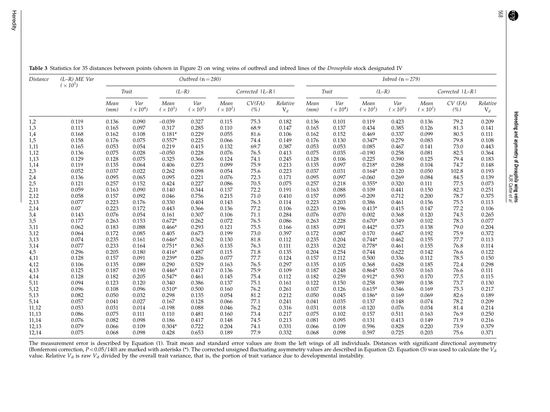Inbreeding and asymmetry of

Drosophila

wing veins AJR Carter

et al

| <i>Distance</i> | $(L-R)$ ME Var<br>$(\times 10^5)$ | Outbred $(n = 280)$ |                          |                         |                        |                           |                   |                   | <i>Inbred</i> $(n = 279)$ |                        |                         |                          |                         |                      |                   |  |
|-----------------|-----------------------------------|---------------------|--------------------------|-------------------------|------------------------|---------------------------|-------------------|-------------------|---------------------------|------------------------|-------------------------|--------------------------|-------------------------|----------------------|-------------------|--|
|                 |                                   | Trait               |                          | $(L-R)$                 |                        | Corrected   L-R           |                   | Trait             |                           | $(L-R)$                |                         | Corrected   L-R          |                         |                      |                   |  |
|                 |                                   | Mean<br>(mm)        | Var<br>$(\times 10^{4})$ | Mean<br>$(\times 10^3)$ | Var<br>$(\times 10^5)$ | Mean<br>$(\times 10^{2})$ | CV(FA)<br>$(\% )$ | Relative<br>$V_d$ | Mean<br>(mm)              | Var<br>$(\times 10^4)$ | Mean<br>$(\times 10^3)$ | Var<br>$(\times 10^{5})$ | Mean<br>$(\times 10^2)$ | $CV$ (FA)<br>$(\% )$ | Relative<br>$V_d$ |  |
| 1,2             | 0.119                             | 0.136               | 0.090                    | $-0.039$                | 0.327                  | 0.115                     | 75.3              | 0.182             | 0.136                     | 0.101                  | 0.119                   | 0.423                    | 0.136                   | 79.2                 | 0.209             |  |
| 1,3             | 0.113                             | 0.165               | 0.097                    | 0.317                   | 0.285                  | 0.110                     | 68.9              | 0.147             | 0.165                     | 0.137                  | 0.434                   | 0.385                    | 0.126                   | 81.3                 | 0.141             |  |
| 1,4             | 0.168                             | 0.162               | 0.108                    | $0.181*$                | 0.229                  | 0.055                     | 81.6              | 0.106             | 0.162                     | 0.152                  | 0.469                   | 0.337                    | 0.099                   | 80.5                 | 0.111             |  |
| 1,5             | 0.158                             | 0.176               | 0.075                    | $0.557*$                | 0.225                  | 0.066                     | 74.4              | 0.149             | 0.176                     | 0.130                  | $0.347*$                | 0.279                    | 0.083                   | 79.8                 | 0.108             |  |
| 1,11            | 0.165                             | 0.053               | 0.054                    | 0.219                   | 0.415                  | 0.132                     | 69.7              | 0.387             | 0.053                     | 0.053                  | 0.085                   | 0.467                    | 0.141                   | 73.0                 | 0.443             |  |
| 1,12            | 0.136                             | 0.075               | 0.028                    | $-0.050$                | 0.228                  | 0.076                     | 76.5              | 0.413             | 0.075                     | 0.035                  | $-0.190$                | 0.258                    | 0.081                   | 82.5                 | 0.364             |  |
| 1,13            | 0.129                             | 0.128               | 0.075                    | 0.325                   | 0.366                  | 0.124                     | 74.1              | 0.245             | 0.128                     | 0.106                  | 0.225                   | 0.390                    | 0.125                   | 79.4                 | 0.183             |  |
| 1,14            | 0.119                             | 0.135               | 0.064                    | 0.406                   | 0.273                  | 0.099                     | 75.9              | 0.213             | 0.135                     | 0.097                  | $0.218*$                | 0.288                    | 0.104                   | 74.7                 | 0.148             |  |
| 2,3             | 0.052                             | 0.037               | 0.022                    | 0.262                   | 0.098                  | 0.054                     | 75.6              | 0.223             | 0.037                     | 0.031                  | $0.164*$                | 0.120                    | 0.050                   | 102.8                | 0.193             |  |
| 2,4             | 0.136                             | 0.095               | 0.065                    | 0.095                   | 0.221                  | 0.076                     | 72.3              | 0.171             | 0.095                     | 0.097                  | $-0.060$                | 0.269                    | 0.084                   | 84.5                 | 0.139             |  |
| 2,5             | 0.121                             | 0.257               | 0.152                    | 0.424                   | 0.227                  | 0.086                     | 70.5              | 0.075             | 0.257                     | 0.218                  | $0.355*$                | 0.320                    | 0.111                   | 77.5                 | 0.073             |  |
| 2,11            | 0.059                             | 0.163               | 0.090                    | 0.140                   | 0.344                  | 0.137                     | 72.2              | 0.191             | 0.163                     | 0.088                  | 0.109                   | 0.441                    | 0.150                   | 82.3                 | 0.251             |  |
| 2,12            | 0.058                             | 0.157               | 0.092                    | 0.046                   | 0.756                  | 0.215                     | 71.0              | 0.410             | 0.157                     | 0.095                  | $-0.209$                | 0.712                    | 0.200                   | 78.7                 | 0.375             |  |
| 2,13            | 0.077                             | 0.223               | 0.176                    | 0.330                   | 0.404                  | 0.143                     | 76.3              | 0.114             | 0.223                     | 0.203                  | 0.386                   | 0.461                    | 0.156                   | 75.5                 | 0.113             |  |
| 2,14            | 0.07                              | 0.223               | 0.172                    | 0.443                   | 0.366                  | 0.136                     | 77.2              | 0.106             | 0.223                     | 0.196                  | $0.413*$                | 0.415                    | 0.147                   | 77.2                 | 0.106             |  |
| $3,4$           | 0.143                             | 0.076               | 0.054                    | 0.161                   | 0.307                  | 0.106                     | 71.1              | 0.284             | 0.076                     | 0.070                  | 0.002                   | 0.368                    | 0.120                   | 74.5                 | 0.265             |  |
| 3,5             | 0.177                             | 0.263               | 0.153                    | $0.672*$                | 0.262                  | 0.072                     | 76.5              | 0.086             | 0.263                     | 0.228                  | $0.670*$                | 0.349                    | 0.102                   | 78.3                 | 0.077             |  |
| 3,11            | 0.062                             | 0.183               | 0.088                    | $0.466*$                | 0.293                  | 0.121                     | 75.5              | 0.166             | 0.183                     | 0.091                  | $0.442*$                | 0.373                    | 0.138                   | 79.0                 | 0.204             |  |
| 3,12            | 0.064                             | 0.172               | 0.085                    | 0.405                   | 0.673                  | 0.199                     | 73.0              | 0.397             | 0.172                     | 0.087                  | 0.170                   | 0.647                    | 0.192                   | 75.9                 | 0.372             |  |
| 3,13            | 0.074                             | 0.235               | 0.161                    | $0.646*$                | 0.362                  | 0.130                     | 81.8              | 0.112             | 0.235                     | 0.204                  | $0.744*$                | 0.462                    | 0.155                   | 77.7                 | 0.113             |  |
| 3,14            | 0.077                             | 0.233               | 0.164                    | $0.751*$                | 0.365                  | 0.135                     | 76.3              | 0.111             | 0.233                     | 0.202                  | $0.778*$                | 0.461                    | 0.155                   | 76.8                 | 0.114             |  |
| 4,5             | 0.296                             | 0.205               | 0.180                    | $0.416*$                | 0.487                  | 0.115                     | 71.8              | 0.135             | 0.204                     | 0.254                  | 0.744                   | 0.622                    | 0.142                   | 76.6                 | 0.122             |  |
| 4,11            | 0.128                             | 0.157               | 0.091                    | $0.239*$                | 0.226                  | 0.077                     | 77.7              | 0.124             | 0.157                     | 0.112                  | 0.500                   | 0.336                    | 0.112                   | 78.5                 | 0.150             |  |
| 4,12            | 0.106                             | 0.135               | 0.089                    | 0.290                   | 0.529                  | 0.163                     | 76.5              | 0.297             | 0.135                     | 0.105                  | 0.368                   | 0.628                    | 0.185                   | 72.4                 | 0.298             |  |
| 4,13            | 0.125                             | 0.187               | 0.190                    | $0.446*$                | 0.417                  | 0.136                     | 75.9              | 0.109             | 0.187                     | 0.248                  | $0.864*$                | 0.550                    | 0.163                   | 76.6                 | 0.111             |  |
| 4,14            | 0.128                             | 0.182               | 0.205                    | $0.547*$                | 0.461                  | 0.145                     | 75.4              | 0.112             | 0.182                     | 0.259                  | $0.912*$                | 0.593                    | 0.170                   | 77.5                 | 0.115             |  |
| 5,11            | 0.094                             | 0.123               | 0.120                    | 0.340                   | 0.386                  | 0.137                     | 75.1              | 0.161             | 0.122                     | 0.150                  | 0.258                   | 0.389                    | 0.138                   | 73.7                 | 0.130             |  |
| 5,12            | 0.096                             | 0.108               | 0.096                    | $0.510*$                | 0.500                  | 0.160                     | 76.2              | 0.261             | 0.107                     | 0.126                  | $0.615*$                | 0.546                    | 0.169                   | 75.3                 | 0.217             |  |
| 5,13            | 0.082                             | 0.050               | 0.032                    | 0.298                   | 0.135                  | 0.054                     | 81.2              | 0.212             | 0.050                     | 0.045                  | $0.186*$                | 0.169                    | 0.069                   | 82.6                 | 0.189             |  |
| 5,14            | 0.057                             | 0.041               | 0.027                    | 0.167                   | 0.128                  | 0.066                     | 77.1              | 0.241             | 0.041                     | 0.035                  | 0.137                   | 0.148                    | 0.074                   | 78.2                 | 0.209             |  |
| 11,12           | 0.053                             | 0.031               | 0.014                    | $-0.198$                | 0.088                  | 0.046                     | 76.2              | 0.316             | 0.031                     | 0.018                  | $-0.120$                | 0.076                    | 0.034                   | 81.4                 | 0.214             |  |
| 11,13           | 0.086                             | 0.075               | 0.111                    | 0.110                   | 0.481                  | 0.160                     | 73.4              | 0.217             | 0.075                     | 0.102                  | 0.157                   | 0.511                    | 0.163                   | 76.9                 | 0.250             |  |
| 11,14           | 0.076                             | 0.082               | 0.098                    | 0.186                   | 0.417                  | 0.148                     | 74.5              | 0.213             | 0.081                     | 0.095                  | 0.131                   | 0.413                    | 0.149                   | 71.9                 | 0.216             |  |
| 12,13           | 0.079                             | 0.066               | 0.109                    | $0.304*$                | 0.722                  | 0.204                     | 74.1              | 0.331             | 0.066                     | 0.109                  | 0.596                   | 0.828                    | 0.220                   | 73.9                 | 0.379             |  |
| 12,14           | 0.075                             | 0.068               | 0.098                    | 0.428                   | 0.653                  | 0.189                     | 77.9              | 0.332             | 0.068                     | 0.098                  | 0.597                   | 0.725                    | 0.203                   | 75.6                 | 0.371             |  |

Table 3 Statistics for 35 distances between points (shown in [Figure](#page-2-0) 2) on wing veins of outbred and inbred lines of the Drosophila stock designated IV

The measurement error is described by Equation (1). Trait mean and standard error values are from the left wings of all individuals. Distances with significant directional asymmetry (Bonferroni correction,  $P < 0.05/140$ ) are marked with asterisks (\*). The corrected unsigned fluctuating asymmetry values are described in Equation (2). Equation (3) was used to calculate the  $V_d$ value. Relative  $V_{\rm d}$  is raw  $V_{\rm d}$  divided by the overall trait variance, that is, the portion of trait variance due to developmental instability.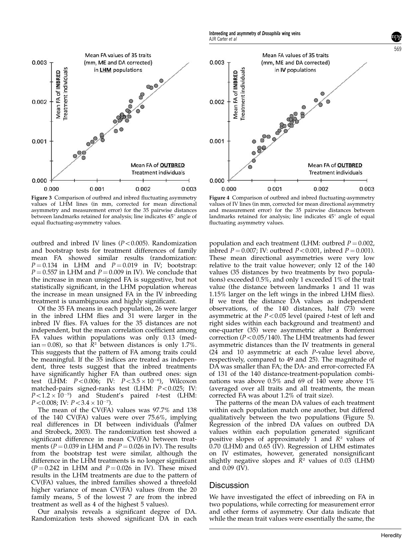<span id="page-6-0"></span>

Figure 3 Comparison of outbred and inbred fluctuating asymmetry values of LHM lines (in mm, corrected for mean directional asymmetry and measurement error) for the 35 pairwise distances between landmarks retained for analysis; line indicates 45° angle of equal fluctuating-asymmetry values.

outbred and inbred IV lines  $(P<0.005)$ . Randomization and bootstrap tests for treatment differences of family mean FA showed similar results (randomization:  $P = 0.134$  in LHM and  $P = 0.019$  in IV; bootstrap:  $P = 0.557$  in LHM and  $P = 0.009$  in IV). We conclude that the increase in mean unsigned FA is suggestive, but not statistically significant, in the LHM population whereas the increase in mean unsigned FA in the IV inbreeding treatment is unambiguous and highly significant.

Of the 35 FA means in each population, 26 were larger in the inbred LHM flies and 31 were larger in the inbred IV flies. FA values for the 35 distances are not independent, but the mean correlation coefficient among FA values within populations was only 0.13 (median = 0.08), so that  $\bar{R}^2$  between distances is only 1.7%. This suggests that the pattern of FA among traits could be meaningful. If the 35 indices are treated as independent, three tests suggest that the inbred treatments have significantly higher FA than outbred ones: sign test (LHM:  $P < 0.006$ ; IV:  $P < 3.5 \times 10^{-6}$ ), Wilcoxon matched-pairs signed-ranks test (LHM:  $P < 0.025$ ; IV:  $P<1.2\times10^{-5}$ ) and Student's paired t-test (LHM:  $P < 0.008$ ; IV:  $P < 3.4 \times 10^{-7}$ ).

The mean of the CV(FA) values was 97.7% and 138 of the 140 CV(FA) values were over 75.6%, implying real differences in DI between individuals ([Palmer](#page-8-0) [and Strobeck, 2003](#page-8-0)). The randomization test showed a significant difference in mean CV(FA) between treatments ( $P = 0.039$  in LHM and  $P = 0.026$  in IV). The results from the bootstrap test were similar, although the difference in the LHM treatments is no longer significant  $(P = 0.242$  in LHM and  $P = 0.026$  in IV). These mixed results in the LHM treatments are due to the pattern of CV(FA) values, the inbred families showed a threefold higher variance of mean CV(FA) values (from the 20 family means, 5 of the lowest 7 are from the inbred treatment as well as 4 of the highest 5 values).

Our analysis reveals a significant degree of DA. Randomization tests showed significant DA in each



AJR Carter et al

Figure 4 Comparison of outbred and inbred fluctuating-asymmetry values of IV lines (in mm, corrected for mean directional asymmetry and measurement error) for the 35 pairwise distances between landmarks retained for analysis; line indicates  $45^\circ$  angle of equal fluctuating asymmetry values.

population and each treatment (LHM: outbred  $P = 0.002$ , inbred  $P = 0.007$ ; IV: outbred  $P < 0.001$ , inbred  $P = 0.001$ ). These mean directional asymmetries were very low relative to the trait value however; only 12 of the 140 values (35 distances by two treatments by two populations) exceeded 0.5%, and only 1 exceeded 1% of the trait value (the distance between landmarks 1 and 11 was 1.15% larger on the left wings in the inbred LHM flies). If we treat the distance DA values as independent observations, of the 140 distances, half (73) were asymmetric at the  $P<0.05$  level (paired t-test of left and right sides within each background and treatment) and one-quarter (35) were asymmetric after a Bonferroni correction ( $P < 0.05/140$ ). The LHM treatments had fewer asymmetric distances than the IV treatments in general (24 and 10 asymmetric at each P-value level above, respectively, compared to 49 and 25). The magnitude of DA was smaller than FA; the DA- and error-corrected FA of 131 of the 140 distance-treatment-population combinations was above  $0.5\%$  and 69 of  $140$  were above  $1\%$ (averaged over all traits and all treatments, the mean corrected FA was about 1.2% of trait size).

The patterns of the mean DA values of each treatment within each population match one another, but differed qualitatively between the two populations ([Figure 5\)](#page-7-0). Regression of the inbred DA values on outbred DA values within each population generated significant positive slopes of approximately 1 and  $R<sup>2</sup>$  values of 0.70 (LHM) and 0.65 (IV). Regression of LHM estimates on IV estimates, however, generated nonsignificant slightly negative slopes and  $\overline{R}^2$  values of 0.03 (LHM) and 0.09 (IV).

#### Discussion

We have investigated the effect of inbreeding on FA in two populations, while correcting for measurement error and other forms of asymmetry. Our data indicate that while the mean trait values were essentially the same, the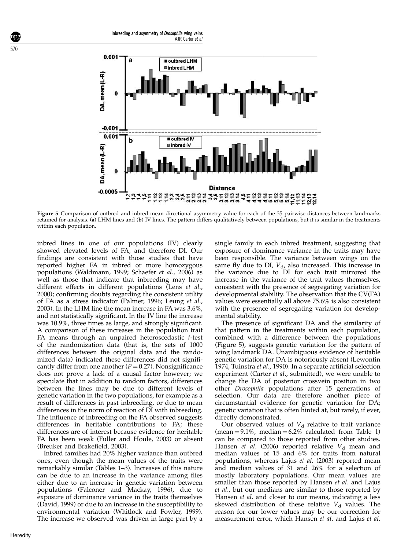<span id="page-7-0"></span>

Figure 5 Comparison of outbred and inbred mean directional asymmetry value for each of the 35 pairwise distances between landmarks retained for analysis. (a) LHM lines and (b) IV lines. The pattern differs qualitatively between populations, but it is similar in the treatments within each population.

inbred lines in one of our populations (IV) clearly showed elevated levels of FA, and therefore DI. Our findings are consistent with those studies that have reported higher FA in inbred or more homozygous populations ([Waldmann, 1999;](#page-9-0) [Schaefer](#page-8-0) et al., 2006) as well as those that indicate that inbreeding may have different effects in different populations [\(Lens](#page-8-0) et al., [2000\)](#page-8-0); confirming doubts regarding the consistent utility of FA as a stress indicator ([Palmer, 1996](#page-8-0); [Leung](#page-8-0) et al., [2003\)](#page-8-0). In the LHM line the mean increase in FA was 3.6%, and not statistically significant. In the IV line the increase was 10.9%, three times as large, and strongly significant. A comparison of these increases in the population trait FA means through an unpaired heteroscedastic t-test of the randomization data (that is, the sets of 1000 differences between the original data and the randomized data) indicated these differences did not significantly differ from one another ( $P = 0.27$ ). Nonsignificance does not prove a lack of a causal factor however; we speculate that in addition to random factors, differences between the lines may be due to different levels of genetic variation in the two populations, for example as a result of differences in past inbreeding, or due to mean differences in the norm of reaction of DI with inbreeding. The influence of inbreeding on the FA observed suggests differences in heritable contributions to FA; these differences are of interest because evidence for heritable FA has been weak [\(Fuller and Houle, 2003\)](#page-8-0) or absent ([Breuker and Brakefield, 2003\)](#page-8-0).

Inbred families had 20% higher variance than outbred ones, even though the mean values of the traits were remarkably similar ([Tables 1–3\)](#page-3-0). Increases of this nature can be due to an increase in the variance among flies either due to an increase in genetic variation between populations ([Falconer and Mackay, 1996](#page-8-0)), due to exposure of dominance variance in the traits themselves ([David, 1999](#page-8-0)) or due to an increase in the susceptibility to environmental variation ([Whitlock and Fowler, 1999](#page-9-0)). The increase we observed was driven in large part by a

single family in each inbred treatment, suggesting that exposure of dominance variance in the traits may have been responsible. The variance between wings on the same fly due to DI,  $V_{d}$ , also increased. This increase in the variance due to DI for each trait mirrored the increase in the variance of the trait values themselves, consistent with the presence of segregating variation for developmental stability. The observation that the CV(FA) values were essentially all above 75.6% is also consistent with the presence of segregating variation for developmental stability.

The presence of significant DA and the similarity of that pattern in the treatments within each population, combined with a difference between the populations (Figure 5), suggests genetic variation for the pattern of wing landmark DA. Unambiguous evidence of heritable genetic variation for DA is notoriously absent ([Lewontin](#page-8-0) [1974,](#page-8-0) [Tuinstra](#page-9-0) et al., 1990). In a separate artificial selection experiment (Carter et al., submitted), we were unable to change the DA of posterior crossvein position in two other Drosophila populations after 15 generations of selection. Our data are therefore another piece of circumstantial evidence for genetic variation for DA; genetic variation that is often hinted at, but rarely, if ever, directly demonstrated.

Our observed values of  $V_d$  relative to trait variance (mean  $= 9.1\%$ , median  $= 6.2\%$  calculated from [Table 1\)](#page-3-0) can be compared to those reported from other studies. Hansen *et al.* (2006) reported relative  $V_d$  mean and median values of 15 and 6% for traits from natural populations, whereas Lajus et al[. \(2003\)](#page-8-0) reported mean and median values of 31 and 26% for a selection of mostly laboratory populations. Our mean values are smaller than those reported by Hansen et al. and Lajus et al., but our medians are similar to those reported by Hansen et al. and closer to our means, indicating a less skewed distribution of these relative  $V<sub>d</sub>$  values. The reason for our lower values may be our correction for measurement error, which Hansen et al. and Lajus et al.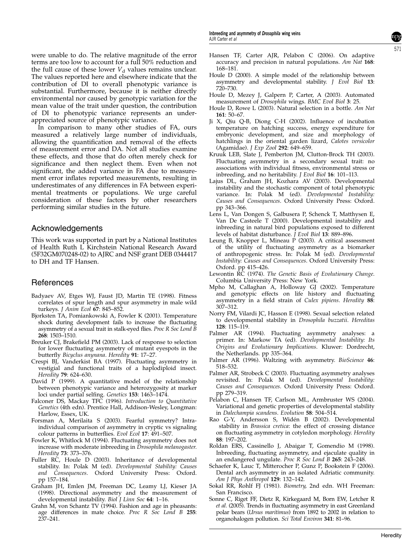<span id="page-8-0"></span>were unable to do. The relative magnitude of the error terms are too low to account for a full 50% reduction and the full cause of these lower  $V_d$  values remains unclear. The values reported here and elsewhere indicate that the contribution of DI to overall phenotypic variance is substantial. Furthermore, because it is neither directly environmental nor caused by genotypic variation for the mean value of the trait under question, the contribution of DI to phenotypic variance represents an underappreciated source of phenotypic variance.

In comparison to many other studies of FA, ours measured a relatively large number of individuals, allowing the quantification and removal of the effects of measurement error and DA. Not all studies examine these effects, and those that do often merely check for significance and then neglect them. Even when not significant, the added variance in FA due to measurement error inflates reported measurements, resulting in underestimates of any differences in FA between experimental treatments or populations. We urge careful consideration of these factors by other researchers performing similar studies in the future.

### Acknowledgements

This work was supported in part by a National Institutes of Health Ruth L Kirchstein National Research Award (5F32GM070248-02) to AJRC and NSF grant DEB 0344417 to DH and TF Hansen.

# **References**

- Badyaev AV, Etges WJ, Faust JD, Martin TE (1998). Fitness correlates of spur length and spur asymmetry in male wild turkeys. J Anim Ecol 67: 845–852.
- Bjorksten TA, Pomiankowski A, Fowler K (2001). Temperature shock during development fails to increase the fluctuating asymmetry of a sexual trait in stalk-eyed flies. Proc R Soc Lond B 268: 1503–1510.
- Breuker CJ, Brakefield PM (2003). Lack of response to selection for lower fluctuating asymmetry of mutant eyespots in the butterfly Bicyclus anynana. Heredity 91: 17–27.
- Crespi BJ, Vanderkist BA (1997). Fluctuating asymmetry in vestigial and functional traits of a haplodiploid insect. Heredity 79: 624–630.
- David  $P^{\dagger}$  (1999). A quantitative model of the relationship between phenotypic variance and heterozygosity at marker loci under partial selfing. Genetics 153: 1463–1474.
- Falconer DS, Mackay TFC (1996). Introduction to Quantitative Genetics (4th edn). Prentice Hall, Addison-Wesley, Longman: Harlow, Essex, UK.
- Forsman A, Merilaita S (2003). Fearful symmetry? Intraindividual comparison of asymmetry in cryptic vs signaling colour patterns in butterflies. Evol Ecol 17: 491–507.
- Fowler K, Whitlock M (1994). Fluctuating asymmetry does not increase with moderate inbreeding in Drosophila melanogaster. Heredity 73: 373–376.
- Fuller RC, Houle D (2003). Inheritance of developmental stability. In: Polak M (ed). Developmental Stability: Causes and Consequences. Oxford University Press: Oxford. pp 157–184.
- Graham JH, Emlen JM, Freeman DC, Leamy LJ, Kieser JA (1998). Directional asymmetry and the measurement of developmental instability. Biol J Linn Soc 64: 1-16.
- Grahn M, von Schantz TV (1994). Fashion and age in pheasants: age differences in mate choice. Proc R Soc Lond B 255: 237–241.
- Hansen TF, Carter AJR, Pelabon C (2006). On adaptive accuracy and precision in natural populations. Am Nat  $168$ : 168–181.
- Houle D (2000). A simple model of the relationship between asymmetry and developmental stability. *J Evol Biol* 13: 720–730.
- Houle D, Mezey J, Galpern P, Carter, A (2003). Automated measurement of Drosophila wings. BMC Evol Biol 3: 25.
- Houle D, Rowe L (2003). Natural selection in a bottle. Am Nat 161: 50–67.
- Ji X, Qiu Q-B, Diong C-H (2002). Influence of incubation temperature on hatching success, energy expenditure for embryonic development, and size and morphology of hatchlings in the oriental garden lizard, Calotes versicolor (Agamidae). J Exp Zool 292: 649–659.
- Kruuk LEB, Slate J, Pemberton JM, Clutton-Brock TH (2003). Fluctuating asymmetry in a secondary sexual trait: no associations with individual fitness, environmental stress or inbreeding, and no heritability. J Evol Biol 16: 101–113.
- Lajus DL, Graham JH, Kozhara AV (2003). Developmental instability and the stochastic component of total phenotypic variance. In: Polak M (ed). Developmental Instability: Causes and Consequences. Oxford University Press: Oxford. pp 343–366.
- Lens L, Van Dongen S, Galbusera P, Schenck T, Matthysen E, Van De Casteele T (2000). Developmental instability and inbreeding in natural bird populations exposed to different levels of habitat disturbance.  $\tilde{J}$  Evol Biol 13: 889–896.
- Leung B, Knopper L, Mineau P (2003). A critical assessment of the utility of fluctuating asymmetry as a biomarker of anthropogenic stress. In: Polak M (ed). Developmental Instability: Causes and Consequences. Oxford University Press: Oxford. pp 415–426.
- Lewontin RC (1974). The Genetic Basis of Evolutionary Change. Columbia University Press: New York.
- Mpho M, Callaghan A, Holloway GJ (2002). Temperature and genotypic effects on life history and fluctuating asymmetry in a field strain of Culex pipiens. Heredity 88: 307–312.
- Norry FM, Vilardi JC, Hasson E (1998). Sexual selection related to developmental stability in Drosophila buzzatii. Hereditas 128: 115–119.
- Palmer AR (1994). Fluctuating asymmetry analyses: a primer. In: Markow TA (ed). Developmental Instability: Its Origins and Evolutionary Implications. Kluwer: Dordrecht, the Netherlands. pp 335–364.
- Palmer AR (1996). Waltzing with asymmetry. BioScience 46: 518–532.
- Palmer AR, Strobeck C (2003). Fluctuating asymmetry analyses revisited. In: Polak M (ed). Developmental Instability: Causes and Consequences. Oxford University Press: Oxford. pp 279–319.
- Pelabon C, Hansen TF, Carlson ML, Armbruster WS (2004). Variational and genetic properties of developmental stability in Dalechampia scandens. Evolution 58: 504–514.
- Rao G-Y, Andersson S, Widén B (2002). Developmental stability in Brassica cretica: the effect of crossing distance on fluctuating asymmetry in cotyledon morphology. Heredity 88: 197–202.
- Roldan ERS, Cassinello J, Abaigar T, Gomendio M (1998). Inbreeding, fluctuating asymmetry, and ejaculate quality in an endangered ungulate. Proc R Soc Lond B 265: 243–248.
- Schaefer K, Lauc T, Mitterocher P, Gunz P, Bookstein F (2006). Dental arch asymmetry in an isolated Adriatic community. Am J Phys Anthropol 129: 132–142.
- Sokal RR, Rohlf FJ (1981). Biometry, 2nd edn. WH Freeman: San Francisco.
- Sonne C, Riget FF, Dietz R, Kirkegaard M, Born EW, Letcher R et al. (2005). Trends in fluctuating asymmetry in east Greenland polar bears (Ursus maritimus) from 1892 to 2002 in relation to organohalogen pollution. Sci Total Environ 341: 81–96.